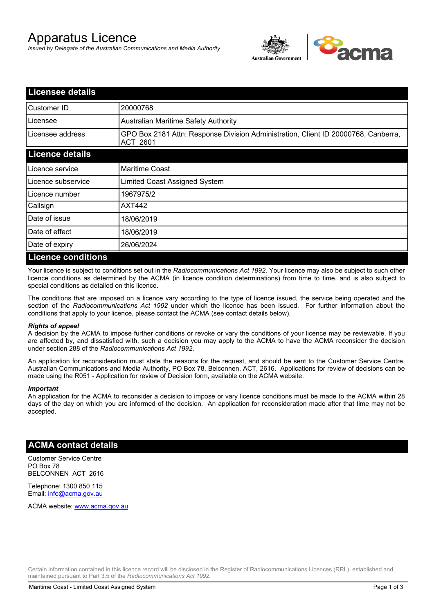# Apparatus Licence

*Issued by Delegate of the Australian Communications and Media Authority*



| <b>Licensee details</b>   |                                                                                                       |  |
|---------------------------|-------------------------------------------------------------------------------------------------------|--|
| Customer ID               | 20000768                                                                                              |  |
| Licensee                  | <b>Australian Maritime Safety Authority</b>                                                           |  |
| Licensee address          | GPO Box 2181 Attn: Response Division Administration, Client ID 20000768, Canberra,<br><b>ACT 2601</b> |  |
| <b>Licence details</b>    |                                                                                                       |  |
| Licence service           | <b>Maritime Coast</b>                                                                                 |  |
| Licence subservice        | Limited Coast Assigned System                                                                         |  |
| Licence number            | 1967975/2                                                                                             |  |
| Callsign                  | <b>AXT442</b>                                                                                         |  |
| Date of issue             | 18/06/2019                                                                                            |  |
| Date of effect            | 18/06/2019                                                                                            |  |
| Date of expiry            | 26/06/2024                                                                                            |  |
| <b>Licence conditions</b> |                                                                                                       |  |

Your licence is subject to conditions set out in the *Radiocommunications Act 1992*. Your licence may also be subject to such other licence conditions as determined by the ACMA (in licence condition determinations) from time to time, and is also subject to special conditions as detailed on this licence.

The conditions that are imposed on a licence vary according to the type of licence issued, the service being operated and the section of the *Radiocommunications Act 1992* under which the licence has been issued. For further information about the conditions that apply to your licence, please contact the ACMA (see contact details below).

### *Rights of appeal*

A decision by the ACMA to impose further conditions or revoke or vary the conditions of your licence may be reviewable. If you are affected by, and dissatisfied with, such a decision you may apply to the ACMA to have the ACMA reconsider the decision under section 288 of the *Radiocommunications Act 1992*.

An application for reconsideration must state the reasons for the request, and should be sent to the Customer Service Centre, Australian Communications and Media Authority, PO Box 78, Belconnen, ACT, 2616. Applications for review of decisions can be made using the R051 - Application for review of Decision form, available on the ACMA website.

#### *Important*

An application for the ACMA to reconsider a decision to impose or vary licence conditions must be made to the ACMA within 28 days of the day on which you are informed of the decision. An application for reconsideration made after that time may not be accepted.

## **ACMA contact details**

Customer Service Centre PO Box 78 BELCONNEN ACT 2616

Telephone: 1300 850 115 Email: info@acma.gov.au

ACMA website: www.acma.gov.au

Certain information contained in this licence record will be disclosed in the Register of Radiocommunications Licences (RRL), established and maintained pursuant to Part 3.5 of the *Radiocommunications Act 1992.*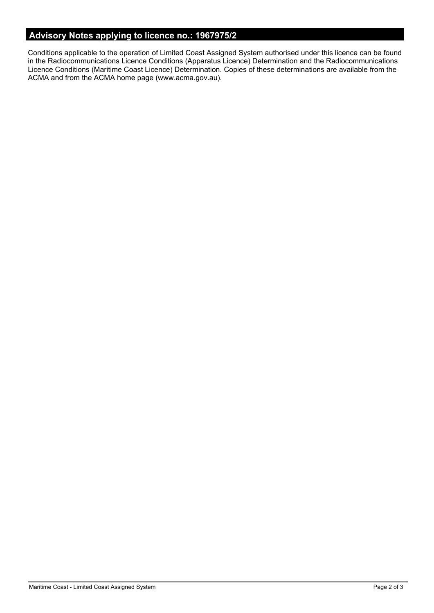# **Advisory Notes applying to licence no.: 1967975/2**

Conditions applicable to the operation of Limited Coast Assigned System authorised under this licence can be found in the Radiocommunications Licence Conditions (Apparatus Licence) Determination and the Radiocommunications Licence Conditions (Maritime Coast Licence) Determination. Copies of these determinations are available from the ACMA and from the ACMA home page (www.acma.gov.au).